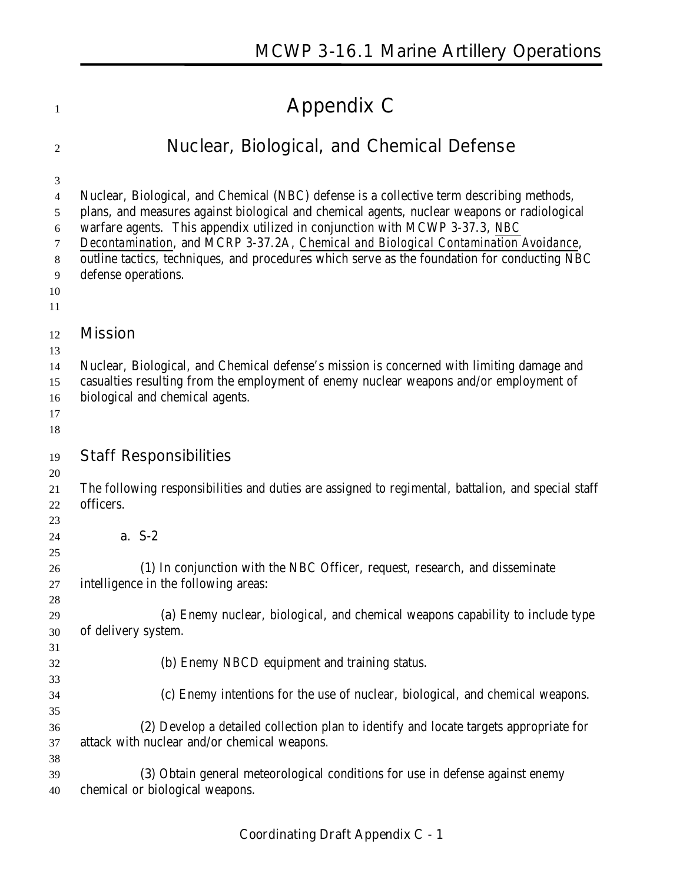# **Appendix C**

### **Nuclear, Biological, and Chemical Defense**

Nuclear, Biological, and Chemical (NBC) defense is a collective term describing methods,

plans, and measures against biological and chemical agents, nuclear weapons or radiological

warfare agents. This appendix utilized in conjunction with MCWP 3-37.3, *NBC*

*Decontamination*, and MCRP 3-37.2A, *Chemical and Biological Contamination Avoidance*,

 outline tactics, techniques, and procedures which serve as the foundation for conducting NBC defense operations.

- 
- 

### **Mission**

 Nuclear, Biological, and Chemical defense's mission is concerned with limiting damage and casualties resulting from the employment of enemy nuclear weapons and/or employment of

- biological and chemical agents.
- 

### **Staff Responsibilities**

 The following responsibilities and duties are assigned to regimental, battalion, and special staff officers.

**a. S-2**

 **(1)** In conjunction with the NBC Officer, request, research, and disseminate intelligence in the following areas:

 **(a)** Enemy nuclear, biological, and chemical weapons capability to include type of delivery system.

- **(b)** Enemy NBCD equipment and training status.
- **(c)** Enemy intentions for the use of nuclear, biological, and chemical weapons.

 **(2)** Develop a detailed collection plan to identify and locate targets appropriate for attack with nuclear and/or chemical weapons.

 **(3)** Obtain general meteorological conditions for use in defense against enemy chemical or biological weapons.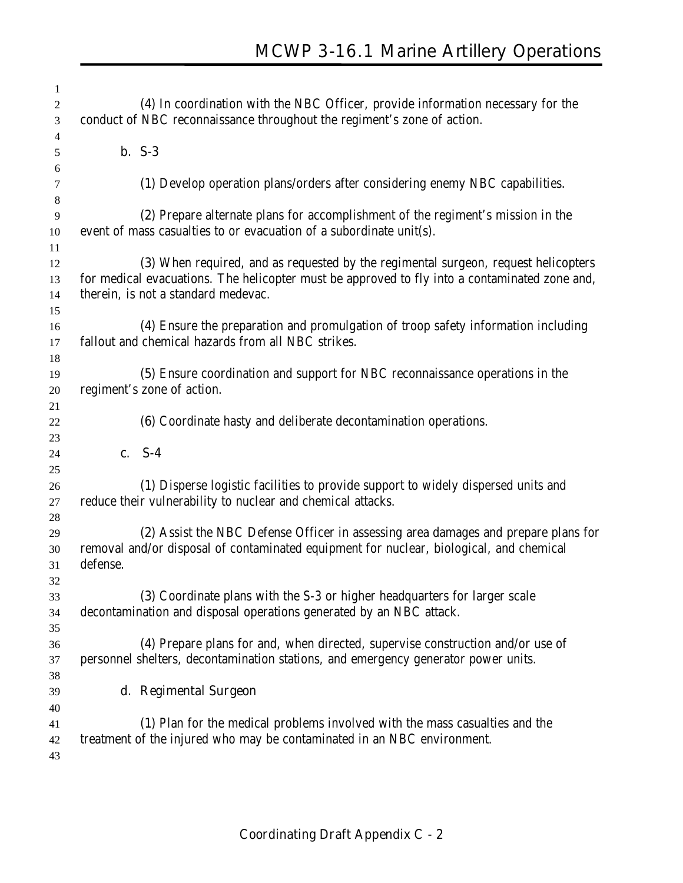| $\mathbf{1}$ |                                                                                                                                                        |
|--------------|--------------------------------------------------------------------------------------------------------------------------------------------------------|
| 2            | (4) In coordination with the NBC Officer, provide information necessary for the                                                                        |
| 3            | conduct of NBC reconnaissance throughout the regiment's zone of action.                                                                                |
| 4            |                                                                                                                                                        |
| 5            | $b. S-3$                                                                                                                                               |
| 6            |                                                                                                                                                        |
| 7            | (1) Develop operation plans/orders after considering enemy NBC capabilities.                                                                           |
| 8            |                                                                                                                                                        |
| 9            | (2) Prepare alternate plans for accomplishment of the regiment's mission in the<br>event of mass casualties to or evacuation of a subordinate unit(s). |
| 10<br>11     |                                                                                                                                                        |
| 12           | (3) When required, and as requested by the regimental surgeon, request helicopters                                                                     |
| 13           | for medical evacuations. The helicopter must be approved to fly into a contaminated zone and,                                                          |
| 14           | therein, is not a standard medevac.                                                                                                                    |
| 15           |                                                                                                                                                        |
| 16           | (4) Ensure the preparation and promulgation of troop safety information including                                                                      |
| 17           | fallout and chemical hazards from all NBC strikes.                                                                                                     |
| 18           |                                                                                                                                                        |
| 19           | (5) Ensure coordination and support for NBC reconnaissance operations in the                                                                           |
| 20           | regiment's zone of action.                                                                                                                             |
| 21           |                                                                                                                                                        |
| 22           | <b>(6)</b> Coordinate hasty and deliberate decontamination operations.                                                                                 |
| 23           |                                                                                                                                                        |
| 24           | c. $S-4$                                                                                                                                               |
| 25<br>26     | (1) Disperse logistic facilities to provide support to widely dispersed units and                                                                      |
| 27           | reduce their vulnerability to nuclear and chemical attacks.                                                                                            |
| 28           |                                                                                                                                                        |
| 29           | (2) Assist the NBC Defense Officer in assessing area damages and prepare plans for                                                                     |
| 30           | removal and/or disposal of contaminated equipment for nuclear, biological, and chemical                                                                |
| 31           | defense.                                                                                                                                               |
| 32           |                                                                                                                                                        |
| 33           | (3) Coordinate plans with the S-3 or higher headquarters for larger scale                                                                              |
| 34           | decontamination and disposal operations generated by an NBC attack.                                                                                    |
| 35           |                                                                                                                                                        |
| 36           | (4) Prepare plans for and, when directed, supervise construction and/or use of                                                                         |
| 37           | personnel shelters, decontamination stations, and emergency generator power units.                                                                     |
| 38           |                                                                                                                                                        |
| 39           | d. Regimental Surgeon                                                                                                                                  |
| 40           |                                                                                                                                                        |
| 41<br>42     | (1) Plan for the medical problems involved with the mass casualties and the<br>treatment of the injured who may be contaminated in an NBC environment. |
| 43           |                                                                                                                                                        |
|              |                                                                                                                                                        |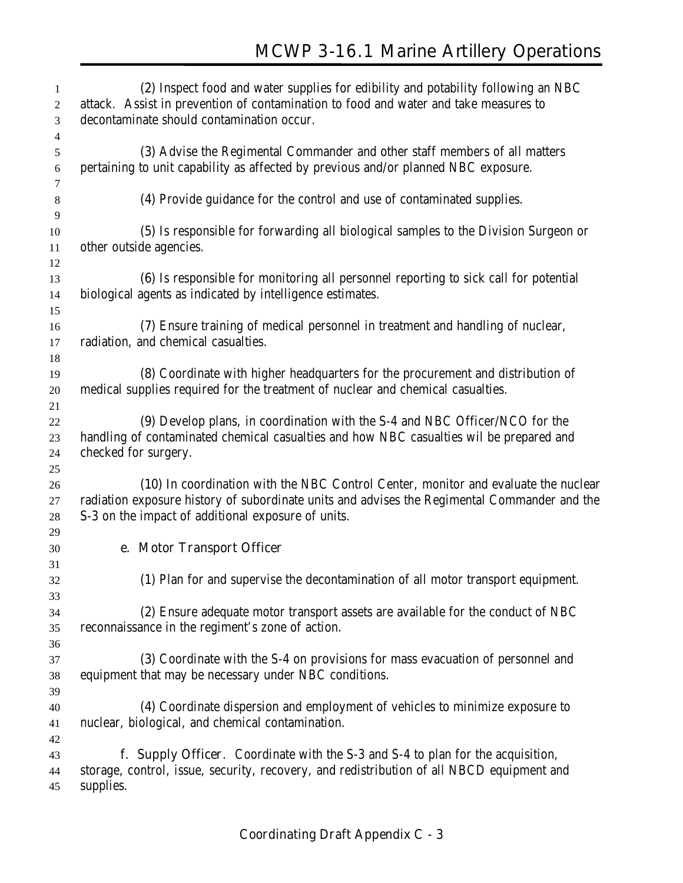| 1              | (2) Inspect food and water supplies for edibility and potability following an NBC            |
|----------------|----------------------------------------------------------------------------------------------|
| 2              | attack. Assist in prevention of contamination to food and water and take measures to         |
| $\mathfrak{Z}$ | decontaminate should contamination occur.                                                    |
| $\overline{4}$ |                                                                                              |
| $\sqrt{5}$     | (3) Advise the Regimental Commander and other staff members of all matters                   |
| 6              | pertaining to unit capability as affected by previous and/or planned NBC exposure.           |
| 7              |                                                                                              |
| $\,8\,$        | (4) Provide guidance for the control and use of contaminated supplies.                       |
| 9              |                                                                                              |
| 10             | (5) Is responsible for forwarding all biological samples to the Division Surgeon or          |
| 11             | other outside agencies.                                                                      |
| 12             |                                                                                              |
| 13             | (6) Is responsible for monitoring all personnel reporting to sick call for potential         |
| 14             | biological agents as indicated by intelligence estimates.                                    |
| 15             |                                                                                              |
| 16             | (7) Ensure training of medical personnel in treatment and handling of nuclear,               |
| 17             | radiation, and chemical casualties.                                                          |
| 18             |                                                                                              |
| 19             | (8) Coordinate with higher headquarters for the procurement and distribution of              |
| 20             | medical supplies required for the treatment of nuclear and chemical casualties.              |
| 21             |                                                                                              |
| 22             | (9) Develop plans, in coordination with the S-4 and NBC Officer/NCO for the                  |
| 23             | handling of contaminated chemical casualties and how NBC casualties wil be prepared and      |
| 24             | checked for surgery.                                                                         |
| 25             |                                                                                              |
| 26             | (10) In coordination with the NBC Control Center, monitor and evaluate the nuclear           |
| $27\,$         | radiation exposure history of subordinate units and advises the Regimental Commander and the |
| 28             | S-3 on the impact of additional exposure of units.                                           |
| 29             |                                                                                              |
| 30             | e. Motor Transport Officer                                                                   |
| 31             |                                                                                              |
| 32             | (1) Plan for and supervise the decontamination of all motor transport equipment.             |
| 33             |                                                                                              |
| 34             | (2) Ensure adequate motor transport assets are available for the conduct of NBC              |
| 35             | reconnaissance in the regiment's zone of action.                                             |
| 36             |                                                                                              |
| 37             | (3) Coordinate with the S-4 on provisions for mass evacuation of personnel and               |
| 38             | equipment that may be necessary under NBC conditions.                                        |
| 39             |                                                                                              |
| 40             | (4) Coordinate dispersion and employment of vehicles to minimize exposure to                 |
| 41             | nuclear, biological, and chemical contamination.                                             |
| 42             |                                                                                              |
| 43             | f. Supply Officer. Coordinate with the S-3 and S-4 to plan for the acquisition,              |
| 44             | storage, control, issue, security, recovery, and redistribution of all NBCD equipment and    |
| 45             | supplies.                                                                                    |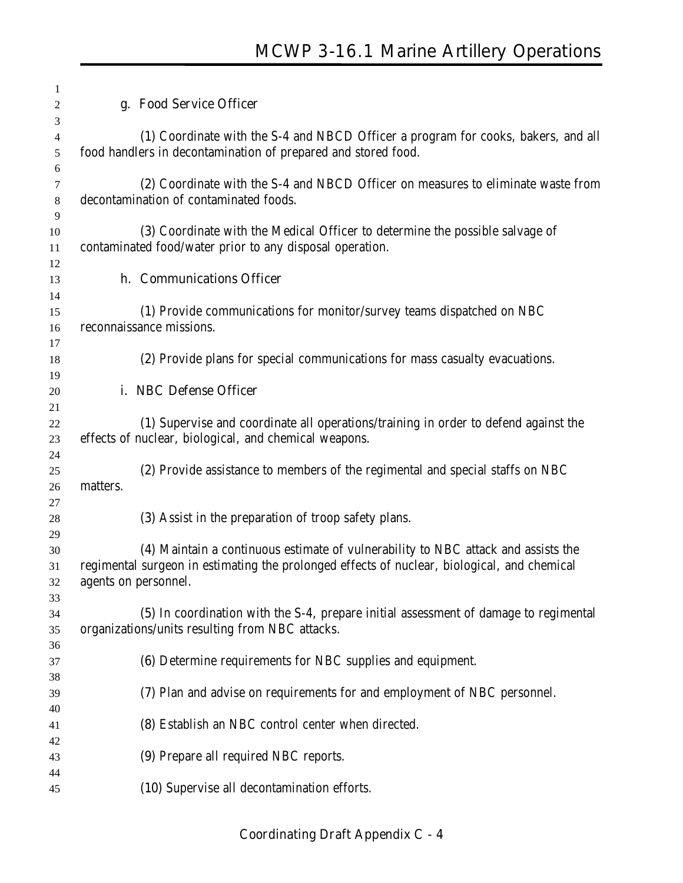| 1              |                                                                                             |
|----------------|---------------------------------------------------------------------------------------------|
| 2              | g. Food Service Officer                                                                     |
| 3              |                                                                                             |
| $\overline{4}$ | (1) Coordinate with the S-4 and NBCD Officer a program for cooks, bakers, and all           |
| $\sqrt{5}$     | food handlers in decontamination of prepared and stored food.                               |
| 6              |                                                                                             |
| 7              | (2) Coordinate with the S-4 and NBCD Officer on measures to eliminate waste from            |
| $8\phantom{1}$ | decontamination of contaminated foods.                                                      |
| 9              |                                                                                             |
| 10             | (3) Coordinate with the Medical Officer to determine the possible salvage of                |
| 11             | contaminated food/water prior to any disposal operation.                                    |
| 12             |                                                                                             |
| 13             | h. Communications Officer                                                                   |
| 14             |                                                                                             |
| 15             | (1) Provide communications for monitor/survey teams dispatched on NBC                       |
| 16             | reconnaissance missions.                                                                    |
| 17             |                                                                                             |
| 18             | (2) Provide plans for special communications for mass casualty evacuations.                 |
| 19             |                                                                                             |
| 20             | i. NBC Defense Officer                                                                      |
| 21             |                                                                                             |
| 22             | (1) Supervise and coordinate all operations/training in order to defend against the         |
| 23             | effects of nuclear, biological, and chemical weapons.                                       |
| 24             |                                                                                             |
| 25             | (2) Provide assistance to members of the regimental and special staffs on NBC               |
| 26             | matters.                                                                                    |
| 27             |                                                                                             |
| 28             | (3) Assist in the preparation of troop safety plans.                                        |
| 29<br>30       | (4) Maintain a continuous estimate of vulnerability to NBC attack and assists the           |
| 31             | regimental surgeon in estimating the prolonged effects of nuclear, biological, and chemical |
| 32             | agents on personnel.                                                                        |
| 33             |                                                                                             |
| 34             | (5) In coordination with the S-4, prepare initial assessment of damage to regimental        |
| 35             | organizations/units resulting from NBC attacks.                                             |
| 36             |                                                                                             |
| 37             | (6) Determine requirements for NBC supplies and equipment.                                  |
| 38             |                                                                                             |
| 39             | (7) Plan and advise on requirements for and employment of NBC personnel.                    |
| 40             |                                                                                             |
| 41             | (8) Establish an NBC control center when directed.                                          |
| 42             |                                                                                             |
| 43             | (9) Prepare all required NBC reports.                                                       |
| 44             |                                                                                             |
| 45             | (10) Supervise all decontamination efforts.                                                 |
|                |                                                                                             |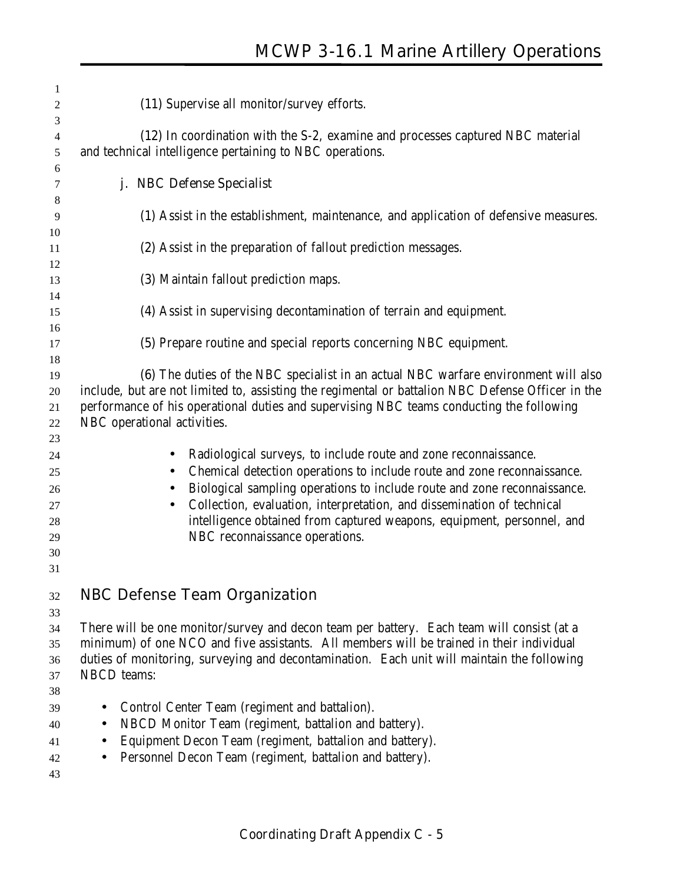| 1        |                                                                                                                                                    |
|----------|----------------------------------------------------------------------------------------------------------------------------------------------------|
| 2        | (11) Supervise all monitor/survey efforts.                                                                                                         |
| 3        |                                                                                                                                                    |
| 4<br>5   | (12) In coordination with the S-2, examine and processes captured NBC material<br>and technical intelligence pertaining to NBC operations.         |
| 6        |                                                                                                                                                    |
| 7        | j. NBC Defense Specialist                                                                                                                          |
| 8        |                                                                                                                                                    |
| 9<br>10  | (1) Assist in the establishment, maintenance, and application of defensive measures.                                                               |
| 11       | (2) Assist in the preparation of fallout prediction messages.                                                                                      |
| 12       |                                                                                                                                                    |
| 13       | (3) Maintain fallout prediction maps.                                                                                                              |
| 14       |                                                                                                                                                    |
| 15       | (4) Assist in supervising decontamination of terrain and equipment.                                                                                |
| 16       |                                                                                                                                                    |
| 17       | (5) Prepare routine and special reports concerning NBC equipment.                                                                                  |
| 18       |                                                                                                                                                    |
| 19       | (6) The duties of the NBC specialist in an actual NBC warfare environment will also                                                                |
| 20       | include, but are not limited to, assisting the regimental or battalion NBC Defense Officer in the                                                  |
| 21       | performance of his operational duties and supervising NBC teams conducting the following                                                           |
| 22       | NBC operational activities.                                                                                                                        |
| 23       |                                                                                                                                                    |
| 24       | Radiological surveys, to include route and zone reconnaissance.                                                                                    |
| 25       | Chemical detection operations to include route and zone reconnaissance.                                                                            |
| 26       | Biological sampling operations to include route and zone reconnaissance.<br>Collection, evaluation, interpretation, and dissemination of technical |
| 27       | $\bullet$<br>intelligence obtained from captured weapons, equipment, personnel, and                                                                |
| 28<br>29 | NBC reconnaissance operations.                                                                                                                     |
| 30       |                                                                                                                                                    |
| 31       |                                                                                                                                                    |
|          |                                                                                                                                                    |
| 32       | <b>NBC Defense Team Organization</b>                                                                                                               |
| 33       |                                                                                                                                                    |
| 34       | There will be one monitor/survey and decon team per battery. Each team will consist (at a                                                          |
| 35       | minimum) of one NCO and five assistants. All members will be trained in their individual                                                           |
| 36       | duties of monitoring, surveying and decontamination. Each unit will maintain the following                                                         |
| 37       | NBCD teams:                                                                                                                                        |
| 38       | Control Center Team (regiment and battalion).                                                                                                      |
| 39       | $\bullet$                                                                                                                                          |
| 40       | NBCD Monitor Team (regiment, battalion and battery).<br>$\bullet$                                                                                  |
| 41       | Equipment Decon Team (regiment, battalion and battery).<br>$\bullet$                                                                               |
| 42<br>43 | Personnel Decon Team (regiment, battalion and battery).                                                                                            |
|          |                                                                                                                                                    |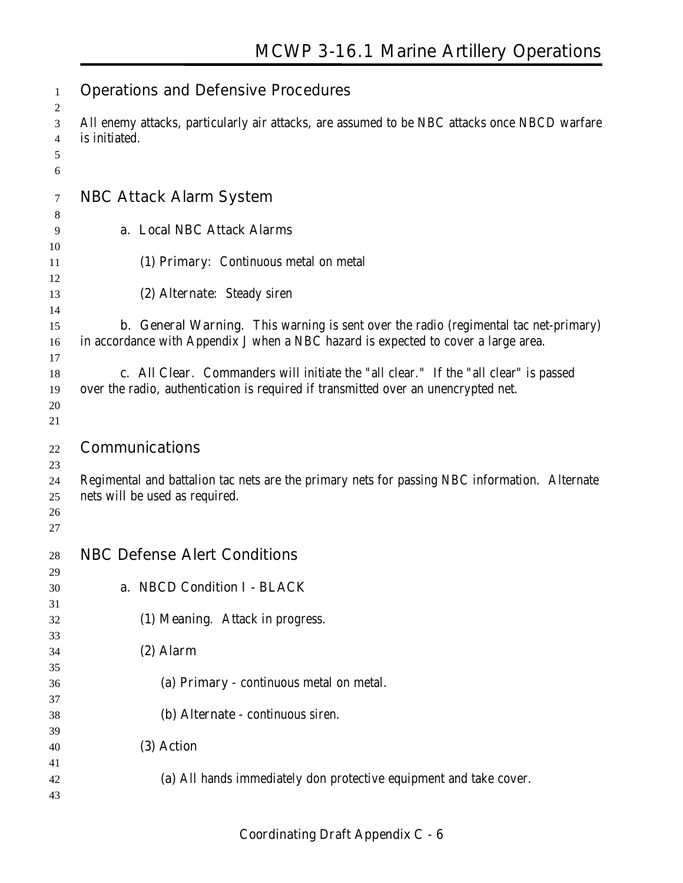| 1                          | <b>Operations and Defensive Procedures</b>                                                                                                                                        |  |  |  |  |  |
|----------------------------|-----------------------------------------------------------------------------------------------------------------------------------------------------------------------------------|--|--|--|--|--|
| 2<br>3<br>4<br>5<br>6      | All enemy attacks, particularly air attacks, are assumed to be NBC attacks once NBCD warfare<br>is initiated.                                                                     |  |  |  |  |  |
| 7                          | <b>NBC Attack Alarm System</b>                                                                                                                                                    |  |  |  |  |  |
| 8<br>9<br>10               | a. Local NBC Attack Alarms                                                                                                                                                        |  |  |  |  |  |
| 11                         | (1) Primary: Continuous metal on metal                                                                                                                                            |  |  |  |  |  |
| 12<br>13                   | (2) Alternate: Steady siren                                                                                                                                                       |  |  |  |  |  |
| 14<br>15<br>16             | <b>b. General Warning.</b> This warning is sent over the radio (regimental tac net-primary)<br>in accordance with Appendix J when a NBC hazard is expected to cover a large area. |  |  |  |  |  |
| 17<br>18<br>19<br>20<br>21 | c. All Clear. Commanders will initiate the "all clear." If the "all clear" is passed<br>over the radio, authentication is required if transmitted over an unencrypted net.        |  |  |  |  |  |
| 22                         | <b>Communications</b>                                                                                                                                                             |  |  |  |  |  |
| 23<br>24<br>25<br>26<br>27 | Regimental and battalion tac nets are the primary nets for passing NBC information. Alternate<br>nets will be used as required.                                                   |  |  |  |  |  |
| 28                         | <b>NBC Defense Alert Conditions</b>                                                                                                                                               |  |  |  |  |  |
| 29<br>30<br>31             | a. NBCD Condition I - BLACK                                                                                                                                                       |  |  |  |  |  |
| 32<br>33<br>34             | (1) Meaning. Attack in progress.<br>(2) Alarm                                                                                                                                     |  |  |  |  |  |
| 35<br>36                   | (a) Primary - continuous metal on metal.                                                                                                                                          |  |  |  |  |  |
| 37<br>38                   | (b) Alternate - continuous siren.                                                                                                                                                 |  |  |  |  |  |
| 39<br>40                   | (3) Action                                                                                                                                                                        |  |  |  |  |  |
| 41<br>42<br>43             | (a) All hands immediately don protective equipment and take cover.                                                                                                                |  |  |  |  |  |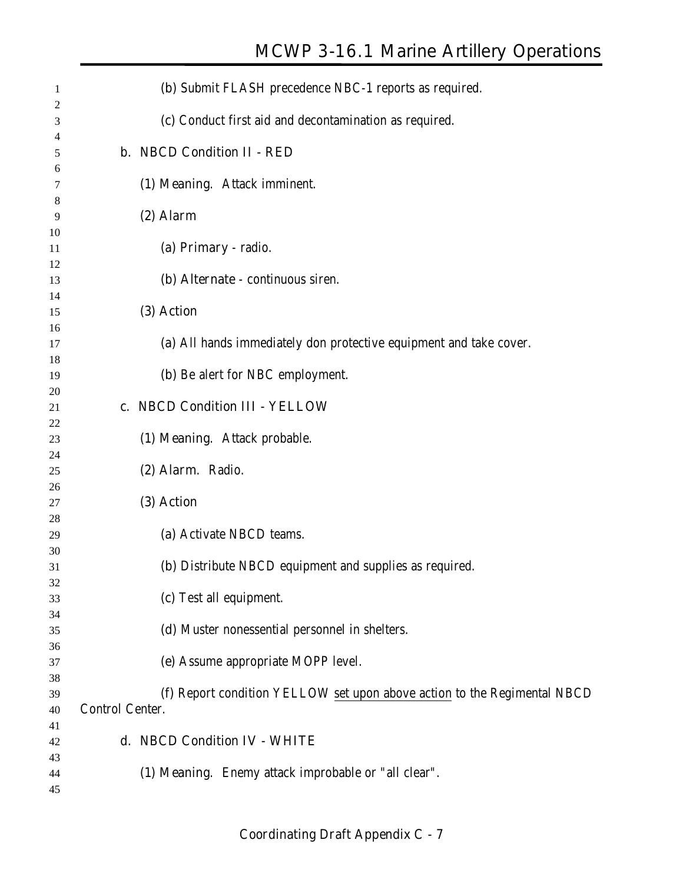| 1              | (b) Submit FLASH precedence NBC-1 reports as required.                                      |
|----------------|---------------------------------------------------------------------------------------------|
| 2<br>3         | (c) Conduct first aid and decontamination as required.                                      |
| 4<br>5         | b. NBCD Condition II - RED                                                                  |
| 6<br>7         | (1) Meaning. Attack imminent.                                                               |
| 8<br>9         | (2) Alarm                                                                                   |
| 10<br>11       | (a) Primary - radio.                                                                        |
| 12<br>13       | (b) Alternate - continuous siren.                                                           |
| 14<br>15       | (3) Action                                                                                  |
| 16<br>17       | (a) All hands immediately don protective equipment and take cover.                          |
| 18<br>19       | (b) Be alert for NBC employment.                                                            |
| 20<br>21       | c. NBCD Condition III - YELLOW                                                              |
| 22<br>23<br>24 | (1) Meaning. Attack probable.                                                               |
| 25<br>26       | (2) Alarm. Radio.                                                                           |
| 27<br>28       | (3) Action                                                                                  |
| 29<br>30       | (a) Activate NBCD teams.                                                                    |
| 31<br>32       | (b) Distribute NBCD equipment and supplies as required.                                     |
| 33<br>34       | (c) Test all equipment.                                                                     |
| 35<br>36       | (d) Muster nonessential personnel in shelters.                                              |
| 37<br>38       | (e) Assume appropriate MOPP level.                                                          |
| 39<br>40       | (f) Report condition YELLOW set upon above action to the Regimental NBCD<br>Control Center. |
| 41<br>42       | d. NBCD Condition IV - WHITE                                                                |
| 43<br>44<br>45 | (1) Meaning. Enemy attack improbable or "all clear".                                        |
|                |                                                                                             |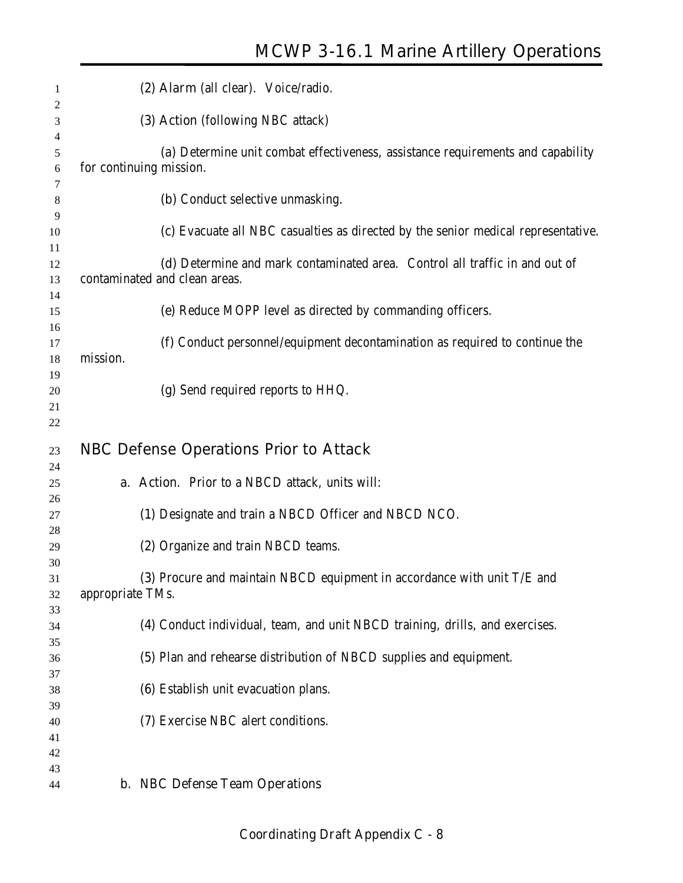| 1                    | (2) Alarm (all clear). Voice/radio.                                                                          |
|----------------------|--------------------------------------------------------------------------------------------------------------|
| 2<br>3               | (3) Action (following NBC attack)                                                                            |
| 4<br>5<br>6          | (a) Determine unit combat effectiveness, assistance requirements and capability<br>for continuing mission.   |
| 7<br>8               | (b) Conduct selective unmasking.                                                                             |
| 9<br>10              | (c) Evacuate all NBC casualties as directed by the senior medical representative.                            |
| 11<br>12<br>13       | (d) Determine and mark contaminated area. Control all traffic in and out of<br>contaminated and clean areas. |
| 14<br>15             | (e) Reduce MOPP level as directed by commanding officers.                                                    |
| 16<br>17<br>18       | (f) Conduct personnel/equipment decontamination as required to continue the<br>mission.                      |
| 19<br>20<br>21<br>22 | (g) Send required reports to HHQ.                                                                            |
| 23                   | NBC Defense Operations Prior to Attack                                                                       |
| 24<br>25             | <b>a. Action.</b> Prior to a NBCD attack, units will:                                                        |
| 26<br>27<br>28       | (1) Designate and train a NBCD Officer and NBCD NCO.                                                         |
| 29<br>30             | (2) Organize and train NBCD teams.                                                                           |
| 31<br>32             | (3) Procure and maintain NBCD equipment in accordance with unit T/E and<br>appropriate TMs.                  |
| 33<br>34<br>35       | (4) Conduct individual, team, and unit NBCD training, drills, and exercises.                                 |
| 36<br>37             | (5) Plan and rehearse distribution of NBCD supplies and equipment.                                           |
| 38<br>39             | (6) Establish unit evacuation plans.                                                                         |
| 40<br>41<br>42       | (7) Exercise NBC alert conditions.                                                                           |
| 43                   |                                                                                                              |
| 44                   | <b>b. NBC Defense Team Operations</b>                                                                        |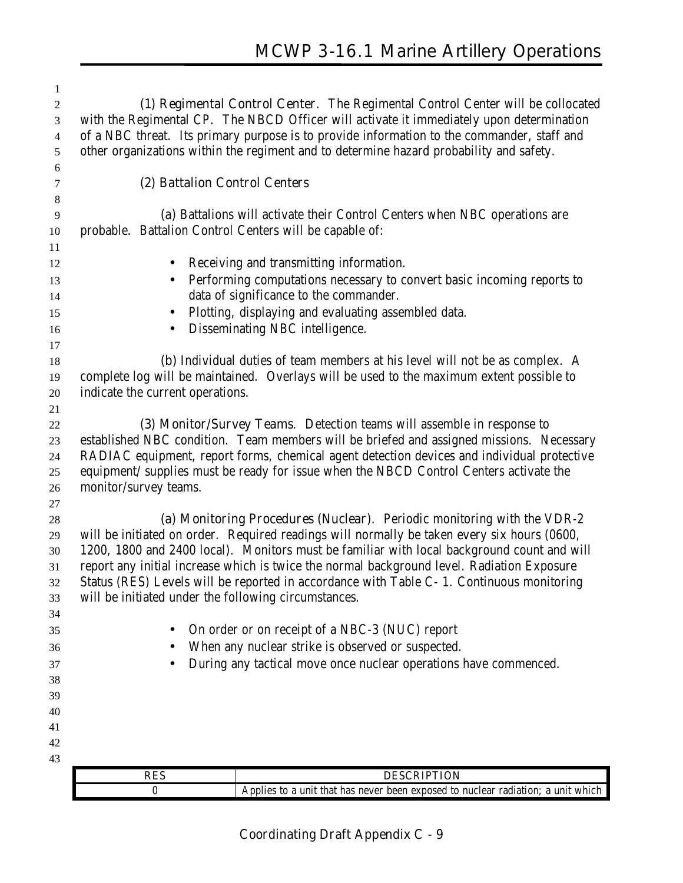| $\mathbf{1}$   |                                                                                            |                                                                                             |  |  |  |  |  |
|----------------|--------------------------------------------------------------------------------------------|---------------------------------------------------------------------------------------------|--|--|--|--|--|
| $\overline{c}$ |                                                                                            | (1) Regimental Control Center. The Regimental Control Center will be collocated             |  |  |  |  |  |
| 3              |                                                                                            | with the Regimental CP. The NBCD Officer will activate it immediately upon determination    |  |  |  |  |  |
| $\overline{4}$ | of a NBC threat. Its primary purpose is to provide information to the commander, staff and |                                                                                             |  |  |  |  |  |
| 5              | other organizations within the regiment and to determine hazard probability and safety.    |                                                                                             |  |  |  |  |  |
| 6              |                                                                                            |                                                                                             |  |  |  |  |  |
| $\tau$         | (2) Battalion Control Centers                                                              |                                                                                             |  |  |  |  |  |
| $\,8\,$        |                                                                                            |                                                                                             |  |  |  |  |  |
| 9              |                                                                                            | (a) Battalions will activate their Control Centers when NBC operations are                  |  |  |  |  |  |
| 10             | probable. Battalion Control Centers will be capable of:                                    |                                                                                             |  |  |  |  |  |
| 11             |                                                                                            |                                                                                             |  |  |  |  |  |
| 12             | $\bullet$                                                                                  | Receiving and transmitting information.                                                     |  |  |  |  |  |
| 13             | $\bullet$                                                                                  | Performing computations necessary to convert basic incoming reports to                      |  |  |  |  |  |
| 14             |                                                                                            | data of significance to the commander.                                                      |  |  |  |  |  |
| 15             | $\bullet$                                                                                  | Plotting, displaying and evaluating assembled data.                                         |  |  |  |  |  |
| 16             | $\bullet$                                                                                  | Disseminating NBC intelligence.                                                             |  |  |  |  |  |
| 17             |                                                                                            |                                                                                             |  |  |  |  |  |
| 18             |                                                                                            | <b>(b)</b> Individual duties of team members at his level will not be as complex. A         |  |  |  |  |  |
| 19             |                                                                                            | complete log will be maintained. Overlays will be used to the maximum extent possible to    |  |  |  |  |  |
| 20             | indicate the current operations.                                                           |                                                                                             |  |  |  |  |  |
| 21             |                                                                                            |                                                                                             |  |  |  |  |  |
| 22             |                                                                                            | (3) Monitor/Survey Teams. Detection teams will assemble in response to                      |  |  |  |  |  |
| 23             | established NBC condition. Team members will be briefed and assigned missions. Necessary   |                                                                                             |  |  |  |  |  |
| 24             |                                                                                            | RADIAC equipment, report forms, chemical agent detection devices and individual protective  |  |  |  |  |  |
| 25             |                                                                                            | equipment/ supplies must be ready for issue when the NBCD Control Centers activate the      |  |  |  |  |  |
| 26             | monitor/survey teams.                                                                      |                                                                                             |  |  |  |  |  |
| 27             |                                                                                            |                                                                                             |  |  |  |  |  |
| 28             |                                                                                            | (a) Monitoring Procedures (Nuclear). Periodic monitoring with the VDR-2                     |  |  |  |  |  |
| 29             |                                                                                            | will be initiated on order. Required readings will normally be taken every six hours (0600, |  |  |  |  |  |
| 30             |                                                                                            | 1200, 1800 and 2400 local). Monitors must be familiar with local background count and will  |  |  |  |  |  |
| 31             |                                                                                            | report any initial increase which is twice the normal background level. Radiation Exposure  |  |  |  |  |  |
| 32             |                                                                                            | Status (RES) Levels will be reported in accordance with Table C- 1. Continuous monitoring   |  |  |  |  |  |
| 33             | will be initiated under the following circumstances.                                       |                                                                                             |  |  |  |  |  |
| 34             |                                                                                            |                                                                                             |  |  |  |  |  |
| 35             |                                                                                            | On order or on receipt of a NBC-3 (NUC) report                                              |  |  |  |  |  |
| 36             |                                                                                            | When any nuclear strike is observed or suspected.                                           |  |  |  |  |  |
| 37             |                                                                                            | During any tactical move once nuclear operations have commenced.                            |  |  |  |  |  |
| 38             |                                                                                            |                                                                                             |  |  |  |  |  |
| 39             |                                                                                            |                                                                                             |  |  |  |  |  |
| 40             |                                                                                            |                                                                                             |  |  |  |  |  |
| 41             |                                                                                            |                                                                                             |  |  |  |  |  |
| 42             |                                                                                            |                                                                                             |  |  |  |  |  |
| 43             |                                                                                            |                                                                                             |  |  |  |  |  |
|                | <b>RES</b>                                                                                 | <b>DESCRIPTION</b>                                                                          |  |  |  |  |  |
|                | $\bf{0}$                                                                                   | Applies to a unit that has never been exposed to nuclear radiation; a unit which            |  |  |  |  |  |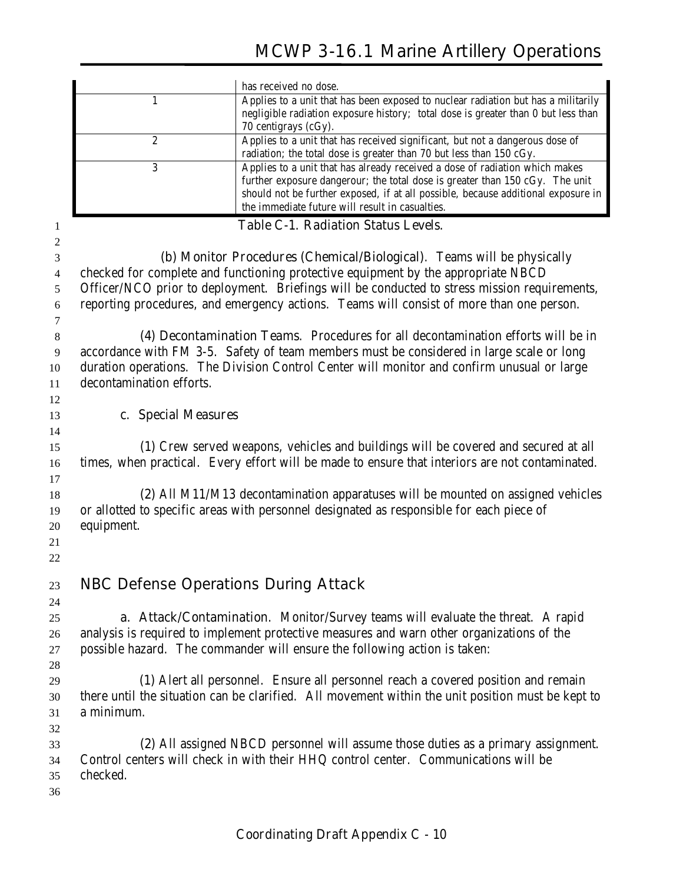| has received no dose.                                                                                                                                                                                                                                                                               |
|-----------------------------------------------------------------------------------------------------------------------------------------------------------------------------------------------------------------------------------------------------------------------------------------------------|
| Applies to a unit that has been exposed to nuclear radiation but has a militarily<br>negligible radiation exposure history; total dose is greater than 0 but less than<br>70 centigrays $(cGy)$ .                                                                                                   |
| Applies to a unit that has received significant, but not a dangerous dose of<br>radiation; the total dose is greater than 70 but less than 150 cGy.                                                                                                                                                 |
| Applies to a unit that has already received a dose of radiation which makes<br>further exposure dangerour; the total dose is greater than 150 cGy. The unit<br>should not be further exposed, if at all possible, because additional exposure in<br>the immediate future will result in casualties. |

### **Table C-1. Radiation Status Levels.**

 **(b) Monitor Procedures (Chemical/Biological)**. Teams will be physically checked for complete and functioning protective equipment by the appropriate NBCD Officer/NCO prior to deployment. Briefings will be conducted to stress mission requirements, reporting procedures, and emergency actions. Teams will consist of more than one person.

### **(4) Decontamination Teams**. Procedures for all decontamination efforts will be in accordance with FM 3-5. Safety of team members must be considered in large scale or long duration operations. The Division Control Center will monitor and confirm unusual or large decontamination efforts.

### **c. Special Measures**

 **(1)** Crew served weapons, vehicles and buildings will be covered and secured at all times, when practical. Every effort will be made to ensure that interiors are not contaminated. 

### **(2)** All M11/M13 decontamination apparatuses will be mounted on assigned vehicles or allotted to specific areas with personnel designated as responsible for each piece of equipment.

 

### **NBC Defense Operations During Attack**

 **a. Attack/Contamination**. Monitor/Survey teams will evaluate the threat. A rapid analysis is required to implement protective measures and warn other organizations of the possible hazard. The commander will ensure the following action is taken:

 **(1)** Alert all personnel. Ensure all personnel reach a covered position and remain there until the situation can be clarified. All movement within the unit position must be kept to a minimum.

 **(2)** All assigned NBCD personnel will assume those duties as a primary assignment. Control centers will check in with their HHQ control center. Communications will be checked.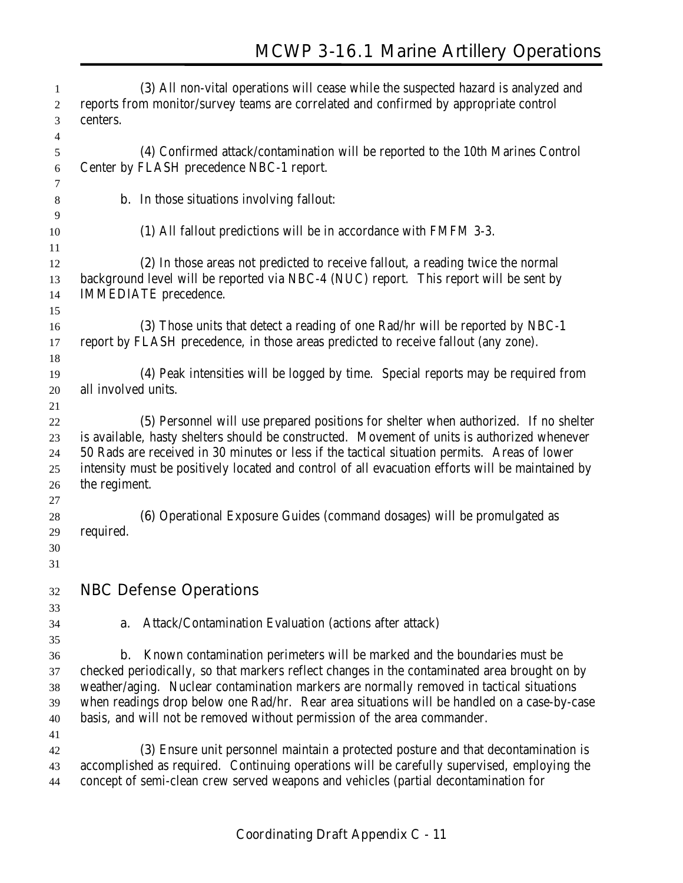| $\mathbf{1}$             | (3) All non-vital operations will cease while the suspected hazard is analyzed and               |  |  |  |  |  |
|--------------------------|--------------------------------------------------------------------------------------------------|--|--|--|--|--|
| $\overline{c}$           | reports from monitor/survey teams are correlated and confirmed by appropriate control            |  |  |  |  |  |
| 3                        | centers.                                                                                         |  |  |  |  |  |
| $\overline{\mathcal{A}}$ |                                                                                                  |  |  |  |  |  |
| 5                        | (4) Confirmed attack/contamination will be reported to the 10th Marines Control                  |  |  |  |  |  |
| 6                        | Center by FLASH precedence NBC-1 report.                                                         |  |  |  |  |  |
| 7                        |                                                                                                  |  |  |  |  |  |
| 8                        | <b>b.</b> In those situations involving fallout:                                                 |  |  |  |  |  |
| 9                        |                                                                                                  |  |  |  |  |  |
| 10                       | (1) All fallout predictions will be in accordance with FMFM 3-3.                                 |  |  |  |  |  |
| 11                       |                                                                                                  |  |  |  |  |  |
| 12                       | (2) In those areas not predicted to receive fallout, a reading twice the normal                  |  |  |  |  |  |
| 13                       | background level will be reported via NBC-4 (NUC) report. This report will be sent by            |  |  |  |  |  |
| 14                       | <b>IMMEDIATE</b> precedence.                                                                     |  |  |  |  |  |
| 15                       |                                                                                                  |  |  |  |  |  |
| 16                       | (3) Those units that detect a reading of one Rad/hr will be reported by NBC-1                    |  |  |  |  |  |
| 17                       | report by FLASH precedence, in those areas predicted to receive fallout (any zone).              |  |  |  |  |  |
| 18                       |                                                                                                  |  |  |  |  |  |
| 19                       | (4) Peak intensities will be logged by time. Special reports may be required from                |  |  |  |  |  |
| 20                       | all involved units.                                                                              |  |  |  |  |  |
| 21                       |                                                                                                  |  |  |  |  |  |
| 22                       | (5) Personnel will use prepared positions for shelter when authorized. If no shelter             |  |  |  |  |  |
| 23                       | is available, hasty shelters should be constructed. Movement of units is authorized whenever     |  |  |  |  |  |
| 24                       | 50 Rads are received in 30 minutes or less if the tactical situation permits. Areas of lower     |  |  |  |  |  |
| 25                       | intensity must be positively located and control of all evacuation efforts will be maintained by |  |  |  |  |  |
| 26                       | the regiment.                                                                                    |  |  |  |  |  |
| 27                       |                                                                                                  |  |  |  |  |  |
| 28                       | (6) Operational Exposure Guides (command dosages) will be promulgated as                         |  |  |  |  |  |
| 29                       | required.                                                                                        |  |  |  |  |  |
| 30                       |                                                                                                  |  |  |  |  |  |
| 31                       |                                                                                                  |  |  |  |  |  |
|                          |                                                                                                  |  |  |  |  |  |
| 32                       | <b>NBC Defense Operations</b>                                                                    |  |  |  |  |  |
| 33                       |                                                                                                  |  |  |  |  |  |
| 34                       | Attack/Contamination Evaluation (actions after attack)<br>a.                                     |  |  |  |  |  |
| 35                       |                                                                                                  |  |  |  |  |  |
| 36                       | Known contamination perimeters will be marked and the boundaries must be<br>b.                   |  |  |  |  |  |
| 37                       | checked periodically, so that markers reflect changes in the contaminated area brought on by     |  |  |  |  |  |
| 38                       | weather/aging. Nuclear contamination markers are normally removed in tactical situations         |  |  |  |  |  |
| 39                       | when readings drop below one Rad/hr. Rear area situations will be handled on a case-by-case      |  |  |  |  |  |
| 40                       | basis, and will not be removed without permission of the area commander.                         |  |  |  |  |  |
| 41                       |                                                                                                  |  |  |  |  |  |
| 42                       | (3) Ensure unit personnel maintain a protected posture and that decontamination is               |  |  |  |  |  |
| 43                       | accomplished as required. Continuing operations will be carefully supervised, employing the      |  |  |  |  |  |
| 44                       | concept of semi-clean crew served weapons and vehicles (partial decontamination for              |  |  |  |  |  |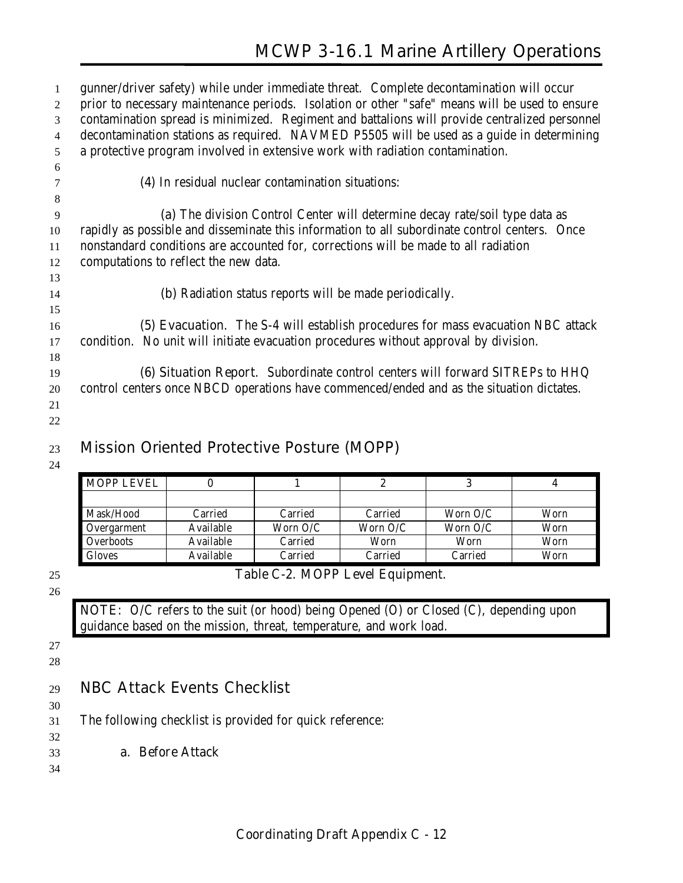# **MCWP 3-16.1 Marine Artillery Operations**

| -1             | gunner/driver safety) while under immediate threat. Complete decontamination will occur        |
|----------------|------------------------------------------------------------------------------------------------|
| 2              | prior to necessary maintenance periods. Isolation or other "safe" means will be used to ensure |
| 3              | contamination spread is minimized. Regiment and battalions will provide centralized personnel  |
| $\overline{4}$ | decontamination stations as required. NAVMED P5505 will be used as a guide in determining      |
| 5              | a protective program involved in extensive work with radiation contamination.                  |
| 6              |                                                                                                |
| 7              | (4) In residual nuclear contamination situations:                                              |
| 8              |                                                                                                |
| 9              | (a) The division Control Center will determine decay rate/soil type data as                    |
| 10             | rapidly as possible and disseminate this information to all subordinate control centers. Once  |
| 11             | nonstandard conditions are accounted for, corrections will be made to all radiation            |
| 12             | computations to reflect the new data.                                                          |
| 13             |                                                                                                |
| 14             | (b) Radiation status reports will be made periodically.                                        |
| 15             |                                                                                                |
| 16             | (5) Evacuation. The S-4 will establish procedures for mass evacuation NBC attack               |
| 17             | condition. No unit will initiate evacuation procedures without approval by division.           |
| 18             |                                                                                                |
| 19             | <b>(6) Situation Report.</b> Subordinate control centers will forward SITREPs to HHQ           |
| 20             | control centers once NBCD operations have commenced/ended and as the situation dictates.       |
| 21             |                                                                                                |
| 22             |                                                                                                |

### **Mission Oriented Protective Posture (MOPP)**

| <b>MOPP LEVEL</b> |           |          |            |            |      |
|-------------------|-----------|----------|------------|------------|------|
|                   |           |          |            |            |      |
| Mask/Hood         | Carried   | Carried  | Carried    | Worn $O/C$ | Worn |
| Overgarment       | Available | Worn O/C | Worn $O/C$ | Worn $O/C$ | Worn |
| Overboots         | Available | Carried  | Worn       | Worn       | Worn |
| Gloves            | Available | Carried  | Carried    | Carried    | Worn |

# 

**Table C-2. MOPP Level Equipment.**

**NOTE:** O/C refers to the suit (or hood) being Opened (O) or Closed (C), depending upon guidance based on the mission, threat, temperature, and work load.

### **NBC Attack Events Checklist**

The following checklist is provided for quick reference:

### **a. Before Attack**

**Coordinating Draft Appendix C - 12**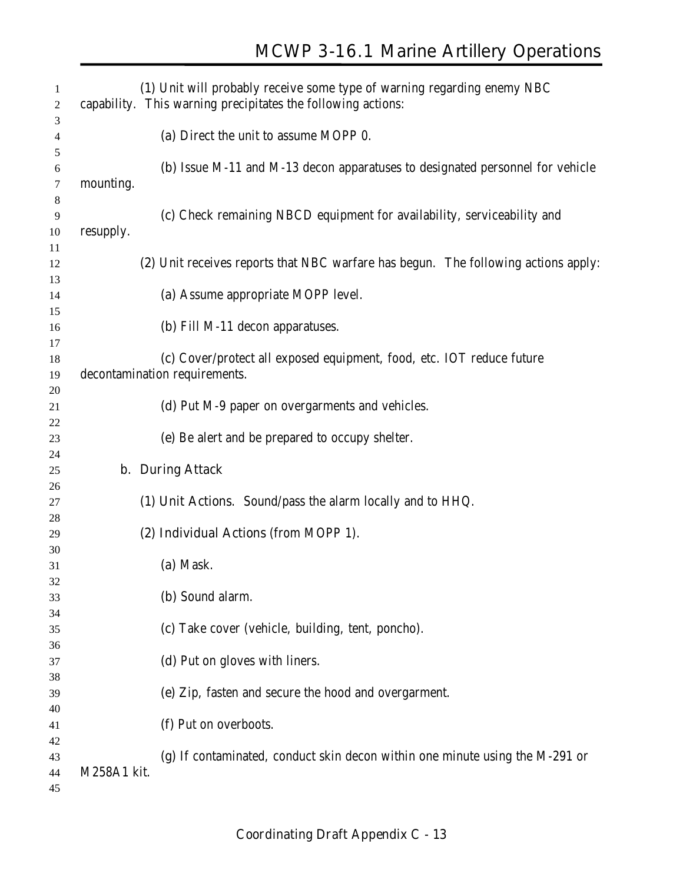| 1<br>$\overline{2}$ |             | (1) Unit will probably receive some type of warning regarding enemy NBC<br>capability. This warning precipitates the following actions: |
|---------------------|-------------|-----------------------------------------------------------------------------------------------------------------------------------------|
| 3                   |             |                                                                                                                                         |
| 4                   |             | (a) Direct the unit to assume MOPP 0.                                                                                                   |
| 5<br>6<br>7         | mounting.   | <b>(b)</b> Issue M-11 and M-13 decon apparatuses to designated personnel for vehicle                                                    |
|                     |             |                                                                                                                                         |
| 8                   |             |                                                                                                                                         |
| 9                   |             | (c) Check remaining NBCD equipment for availability, serviceability and                                                                 |
| 10                  | resupply.   |                                                                                                                                         |
| 11                  |             | (2) Unit receives reports that NBC warfare has begun. The following actions apply:                                                      |
| 12                  |             |                                                                                                                                         |
| 13                  |             |                                                                                                                                         |
| 14                  |             | (a) Assume appropriate MOPP level.                                                                                                      |
| 15                  |             |                                                                                                                                         |
| 16                  |             | <b>(b)</b> Fill M-11 decon apparatuses.                                                                                                 |
| 17                  |             |                                                                                                                                         |
| 18                  |             | (c) Cover/protect all exposed equipment, food, etc. IOT reduce future                                                                   |
| 19                  |             | decontamination requirements.                                                                                                           |
| 20                  |             |                                                                                                                                         |
| 21                  |             | (d) Put M-9 paper on overgarments and vehicles.                                                                                         |
| 22                  |             |                                                                                                                                         |
| 23                  |             | (e) Be alert and be prepared to occupy shelter.                                                                                         |
| 24                  |             |                                                                                                                                         |
| 25                  |             | <b>b.</b> During Attack                                                                                                                 |
| 26                  |             |                                                                                                                                         |
| 27                  |             | (1) Unit Actions. Sound/pass the alarm locally and to HHQ.                                                                              |
| 28                  |             |                                                                                                                                         |
| 29                  |             | (2) Individual Actions (from MOPP 1).                                                                                                   |
| 30                  |             |                                                                                                                                         |
| 31                  |             | (a) Mask.                                                                                                                               |
| 32                  |             |                                                                                                                                         |
| 33                  |             | (b) Sound alarm.                                                                                                                        |
| 34                  |             |                                                                                                                                         |
| 35                  |             | (c) Take cover (vehicle, building, tent, poncho).                                                                                       |
| 36                  |             |                                                                                                                                         |
| 37                  |             | (d) Put on gloves with liners.                                                                                                          |
| 38                  |             |                                                                                                                                         |
| 39                  |             | (e) Zip, fasten and secure the hood and overgarment.                                                                                    |
| 40                  |             |                                                                                                                                         |
| 41                  |             | (f) Put on overboots.                                                                                                                   |
| 42                  |             |                                                                                                                                         |
| 43                  |             | (g) If contaminated, conduct skin decon within one minute using the M-291 or                                                            |
| 44                  | M258A1 kit. |                                                                                                                                         |
| 45                  |             |                                                                                                                                         |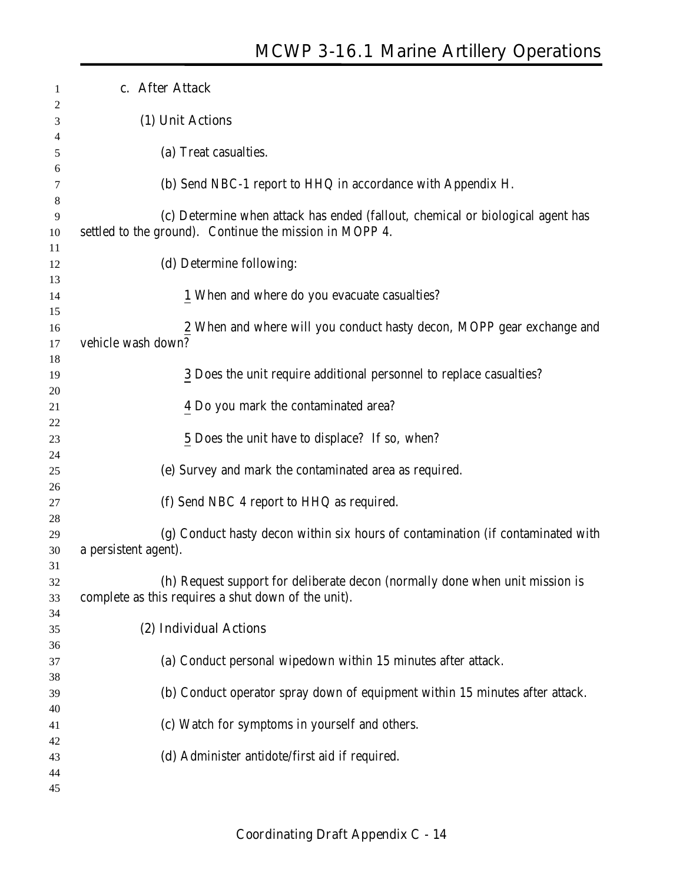| 1              | c. After Attack                                                                                                                           |
|----------------|-------------------------------------------------------------------------------------------------------------------------------------------|
| 2              |                                                                                                                                           |
| 3<br>4         | (1) Unit Actions                                                                                                                          |
| 5              | (a) Treat casualties.                                                                                                                     |
| 6<br>7<br>8    | <b>(b)</b> Send NBC-1 report to HHQ in accordance with Appendix H.                                                                        |
| 9<br>10        | (c) Determine when attack has ended (fallout, chemical or biological agent has<br>settled to the ground). Continue the mission in MOPP 4. |
| 11<br>12       | (d) Determine following:                                                                                                                  |
| 13<br>14       | 1 When and where do you evacuate casualties?                                                                                              |
| 15<br>16<br>17 | 2 When and where will you conduct hasty decon, MOPP gear exchange and<br>vehicle wash down?                                               |
| 18<br>19       | <b>3</b> Does the unit require additional personnel to replace casualties?                                                                |
| 20<br>21       | 4 Do you mark the contaminated area?                                                                                                      |
| 22<br>23       | 5 Does the unit have to displace? If so, when?                                                                                            |
| 24<br>25       | (e) Survey and mark the contaminated area as required.                                                                                    |
| 26<br>27<br>28 | (f) Send NBC 4 report to HHQ as required.                                                                                                 |
| 29<br>30<br>31 | (g) Conduct hasty decon within six hours of contamination (if contaminated with<br>a persistent agent).                                   |
| 32<br>33       | (h) Request support for deliberate decon (normally done when unit mission is<br>complete as this requires a shut down of the unit).       |
| 34<br>35       | (2) Individual Actions                                                                                                                    |
| 36<br>37       | (a) Conduct personal wipedown within 15 minutes after attack.                                                                             |
| 38<br>39       | <b>(b)</b> Conduct operator spray down of equipment within 15 minutes after attack.                                                       |
| 40<br>41       | (c) Watch for symptoms in yourself and others.                                                                                            |
| 42<br>43       | (d) Administer antidote/first aid if required.                                                                                            |
| 44<br>45       |                                                                                                                                           |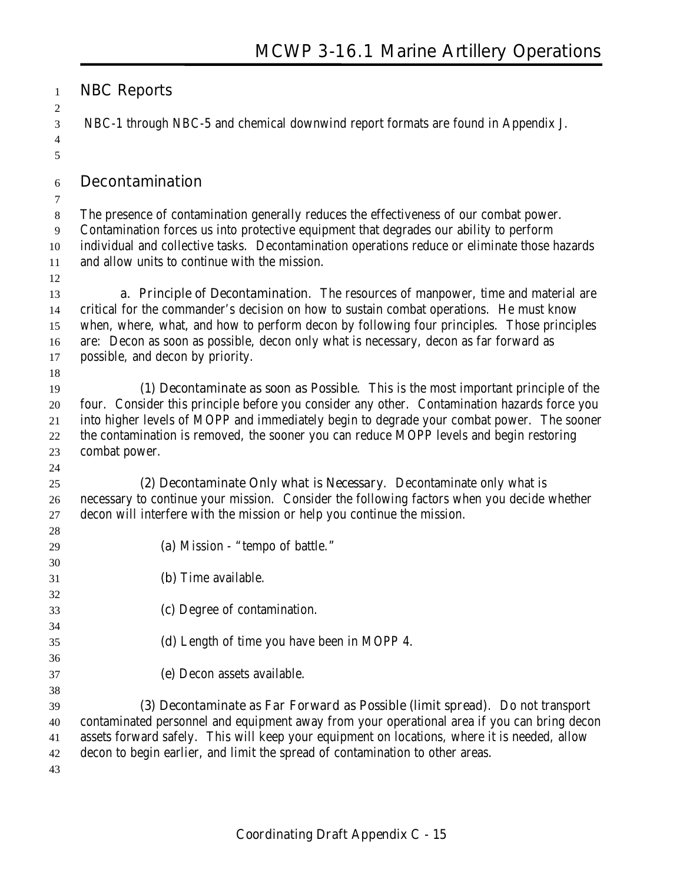### **NBC Reports**

NBC-1 through NBC-5 and chemical downwind report formats are found in Appendix J.

- 
- 

 

### **Decontamination**

 The presence of contamination generally reduces the effectiveness of our combat power. Contamination forces us into protective equipment that degrades our ability to perform

- individual and collective tasks. Decontamination operations reduce or eliminate those hazards and allow units to continue with the mission.
- **a. Principle of Decontamination**. The resources of manpower, time and material are critical for the commander's decision on how to sustain combat operations. He must know when, where, what, and how to perform decon by following four principles. Those principles are: Decon as soon as possible, decon only what is necessary, decon as far forward as possible, and decon by priority.
- **(1) Decontaminate as soon as Possible**. This is the most important principle of the four. Consider this principle before you consider any other. Contamination hazards force you into higher levels of MOPP and immediately begin to degrade your combat power. The sooner the contamination is removed, the sooner you can reduce MOPP levels and begin restoring combat power.
- **(2) Decontaminate Only what is Necessary**. Decontaminate only what is necessary to continue your mission. Consider the following factors when you decide whether decon will interfere with the mission or help you continue the mission.
- **(a)** Mission - "tempo of battle." **(b)** Time available. **(c)** Degree of contamination. **(d)** Length of time you have been in MOPP 4. **(e)** Decon assets available. **(3) Decontaminate as Far Forward as Possible (limit spread)**. Do not transport contaminated personnel and equipment away from your operational area if you can bring decon assets forward safely. This will keep your equipment on locations, where it is needed, allow decon to begin earlier, and limit the spread of contamination to other areas.
-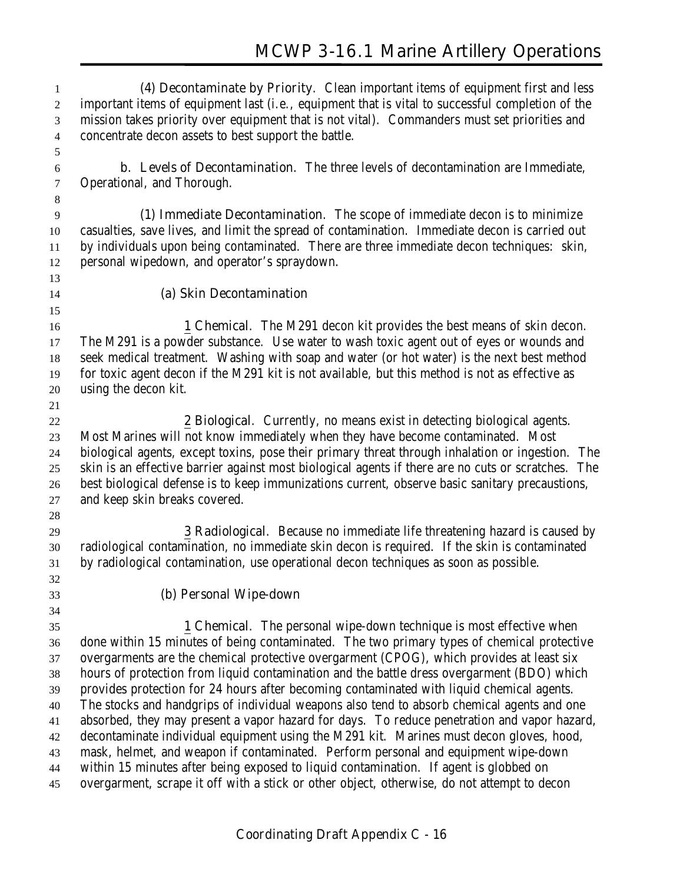**(4) Decontaminate by Priority**. Clean important items of equipment first and less important items of equipment last (i.e., equipment that is vital to successful completion of the mission takes priority over equipment that is not vital). Commanders must set priorities and concentrate decon assets to best support the battle.

 **b. Levels of Decontamination**. The three levels of decontamination are Immediate, Operational, and Thorough.

 **(1) Immediate Decontamination**. The scope of immediate decon is to minimize casualties, save lives, and limit the spread of contamination. Immediate decon is carried out by individuals upon being contaminated. There are three immediate decon techniques: skin, personal wipedown, and operator's spraydown.

### **(a) Skin Decontamination**

 **1 Chemical**. The M291 decon kit provides the best means of skin decon. The M291 is a powder substance. Use water to wash toxic agent out of eyes or wounds and seek medical treatment. Washing with soap and water (or hot water) is the next best method for toxic agent decon if the M291 kit is not available, but this method is not as effective as using the decon kit.

 **2 Biological**. Currently, no means exist in detecting biological agents. Most Marines will not know immediately when they have become contaminated. Most biological agents, except toxins, pose their primary threat through inhalation or ingestion. The skin is an effective barrier against most biological agents if there are no cuts or scratches. The best biological defense is to keep immunizations current, observe basic sanitary precaustions, and keep skin breaks covered.

 **3 Radiological**. Because no immediate life threatening hazard is caused by radiological contamination, no immediate skin decon is required. If the skin is contaminated by radiological contamination, use operational decon techniques as soon as possible.

 

### **(b) Personal Wipe-down**

 **1 Chemical**. The personal wipe-down technique is most effective when done within 15 minutes of being contaminated. The two primary types of chemical protective overgarments are the chemical protective overgarment (CPOG), which provides at least six hours of protection from liquid contamination and the battle dress overgarment (BDO) which provides protection for 24 hours after becoming contaminated with liquid chemical agents. The stocks and handgrips of individual weapons also tend to absorb chemical agents and one absorbed, they may present a vapor hazard for days. To reduce penetration and vapor hazard, decontaminate individual equipment using the M291 kit. Marines must decon gloves, hood, mask, helmet, and weapon if contaminated. Perform personal and equipment wipe-down within 15 minutes after being exposed to liquid contamination. If agent is globbed on overgarment, scrape it off with a stick or other object, otherwise, do not attempt to decon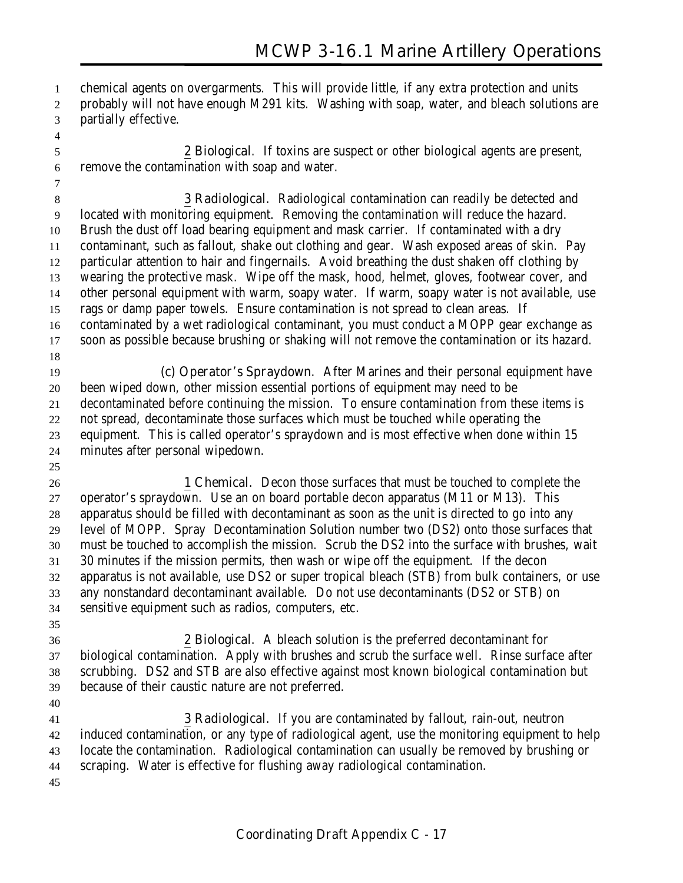chemical agents on overgarments. This will provide little, if any extra protection and units probably will not have enough M291 kits. Washing with soap, water, and bleach solutions are partially effective.

 **2 Biological**. If toxins are suspect or other biological agents are present, remove the contamination with soap and water.

 **3 Radiological**. Radiological contamination can readily be detected and located with monitoring equipment. Removing the contamination will reduce the hazard. Brush the dust off load bearing equipment and mask carrier. If contaminated with a dry contaminant, such as fallout, shake out clothing and gear. Wash exposed areas of skin. Pay particular attention to hair and fingernails. Avoid breathing the dust shaken off clothing by wearing the protective mask. Wipe off the mask, hood, helmet, gloves, footwear cover, and other personal equipment with warm, soapy water. If warm, soapy water is not available, use rags or damp paper towels. Ensure contamination is not spread to clean areas. If contaminated by a wet radiological contaminant, you must conduct a MOPP gear exchange as soon as possible because brushing or shaking will not remove the contamination or its hazard. **(c) Operator's Spraydown**. After Marines and their personal equipment have been wiped down, other mission essential portions of equipment may need to be

 decontaminated before continuing the mission. To ensure contamination from these items is not spread, decontaminate those surfaces which must be touched while operating the equipment. This is called operator's spraydown and is most effective when done within 15 minutes after personal wipedown.

 **1 Chemical**. Decon those surfaces that must be touched to complete the operator's spraydown. Use an on board portable decon apparatus (M11 or M13). This apparatus should be filled with decontaminant as soon as the unit is directed to go into any level of MOPP. Spray Decontamination Solution number two (DS2) onto those surfaces that must be touched to accomplish the mission. Scrub the DS2 into the surface with brushes, wait 30 minutes if the mission permits, then wash or wipe off the equipment. If the decon apparatus is not available, use DS2 or super tropical bleach (STB) from bulk containers, or use any nonstandard decontaminant available. Do not use decontaminants (DS2 or STB) on sensitive equipment such as radios, computers, etc.

 **2 Biological**. A bleach solution is the preferred decontaminant for biological contamination. Apply with brushes and scrub the surface well. Rinse surface after scrubbing. DS2 and STB are also effective against most known biological contamination but because of their caustic nature are not preferred.

 **3 Radiological**. If you are contaminated by fallout, rain-out, neutron induced contamination, or any type of radiological agent, use the monitoring equipment to help locate the contamination. Radiological contamination can usually be removed by brushing or scraping. Water is effective for flushing away radiological contamination.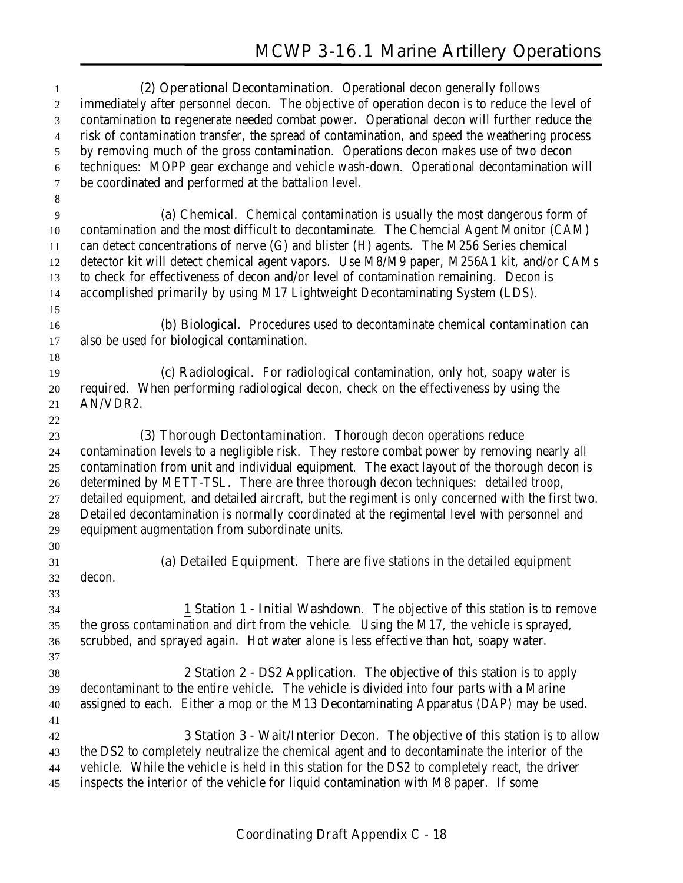**(2) Operational Decontamination**. Operational decon generally follows immediately after personnel decon. The objective of operation decon is to reduce the level of contamination to regenerate needed combat power. Operational decon will further reduce the risk of contamination transfer, the spread of contamination, and speed the weathering process by removing much of the gross contamination. Operations decon makes use of two decon techniques: MOPP gear exchange and vehicle wash-down. Operational decontamination will be coordinated and performed at the battalion level. **(a) Chemical**. Chemical contamination is usually the most dangerous form of contamination and the most difficult to decontaminate. The Chemcial Agent Monitor (CAM) can detect concentrations of nerve (G) and blister (H) agents. The M256 Series chemical detector kit will detect chemical agent vapors. Use M8/M9 paper, M256A1 kit, and/or CAMs to check for effectiveness of decon and/or level of contamination remaining. Decon is accomplished primarily by using M17 Lightweight Decontaminating System (LDS). **(b) Biological**. Procedures used to decontaminate chemical contamination can also be used for biological contamination. **(c) Radiological**. For radiological contamination, only hot, soapy water is required. When performing radiological decon, check on the effectiveness by using the AN/VDR2. **(3) Thorough Dectontamination**. Thorough decon operations reduce contamination levels to a negligible risk. They restore combat power by removing nearly all contamination from unit and individual equipment. The exact layout of the thorough decon is determined by METT-TSL. There are three thorough decon techniques: detailed troop, detailed equipment, and detailed aircraft, but the regiment is only concerned with the first two. Detailed decontamination is normally coordinated at the regimental level with personnel and equipment augmentation from subordinate units. **(a) Detailed Equipment**. There are five stations in the detailed equipment decon. **1 Station 1 - Initial Washdown**. The objective of this station is to remove the gross contamination and dirt from the vehicle. Using the M17, the vehicle is sprayed, scrubbed, and sprayed again. Hot water alone is less effective than hot, soapy water. **2 Station 2 - DS2 Application**. The objective of this station is to apply decontaminant to the entire vehicle. The vehicle is divided into four parts with a Marine assigned to each. Either a mop or the M13 Decontaminating Apparatus (DAP) may be used. **3 Station 3 - Wait/Interior Decon**. The objective of this station is to allow the DS2 to completely neutralize the chemical agent and to decontaminate the interior of the vehicle. While the vehicle is held in this station for the DS2 to completely react, the driver inspects the interior of the vehicle for liquid contamination with M8 paper. If some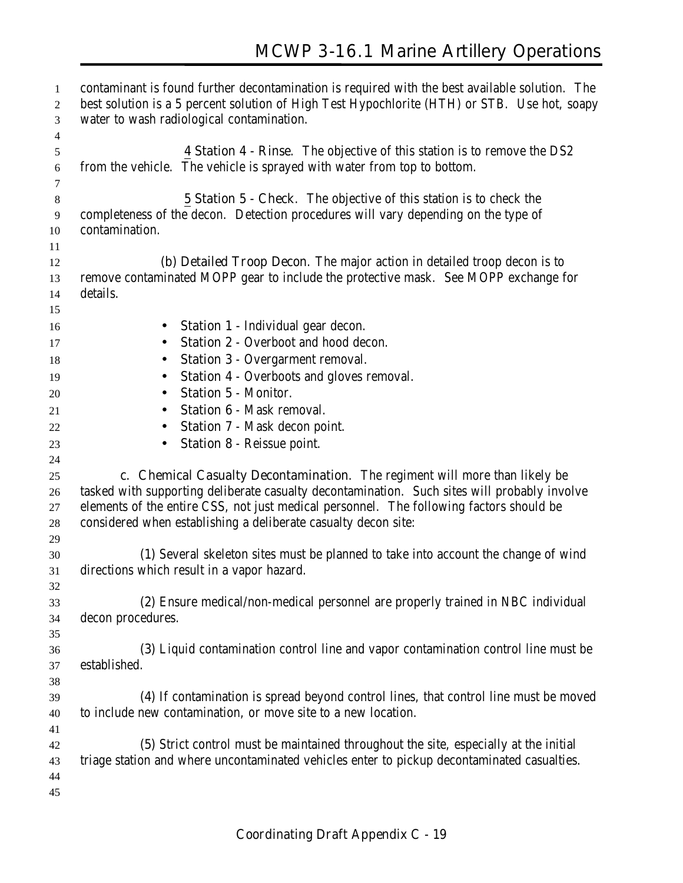| 1              | contaminant is found further decontamination is required with the best available solution. The |
|----------------|------------------------------------------------------------------------------------------------|
| 2              | best solution is a 5 percent solution of High Test Hypochlorite (HTH) or STB. Use hot, soapy   |
| 3              | water to wash radiological contamination.                                                      |
| $\overline{4}$ |                                                                                                |
| 5              | <b>4 Station 4 - Rinse.</b> The objective of this station is to remove the DS2                 |
| 6              | from the vehicle. The vehicle is sprayed with water from top to bottom.                        |
| 7              |                                                                                                |
| 8              | 5 Station 5 - Check. The objective of this station is to check the                             |
| 9              | completeness of the decon. Detection procedures will vary depending on the type of             |
| 10             | contamination.                                                                                 |
| 11             |                                                                                                |
| 12             | (b) Detailed Troop Decon. The major action in detailed troop decon is to                       |
| 13             | remove contaminated MOPP gear to include the protective mask. See MOPP exchange for            |
| 14             | details.                                                                                       |
| 15             |                                                                                                |
| 16             | Station 1 - Individual gear decon.                                                             |
| 17             | Station 2 - Overboot and hood decon.                                                           |
| 18             | Station 3 - Overgarment removal.<br>$\bullet$                                                  |
| 19             | <b>Station 4</b> - Overboots and gloves removal.<br>$\bullet$                                  |
| 20             | <b>Station 5 - Monitor.</b>                                                                    |
| 21             | Station 6 - Mask removal.<br>$\bullet$                                                         |
| 22             | <b>Station 7</b> - Mask decon point.<br>$\bullet$                                              |
| 23             | Station 8 - Reissue point.<br>$\bullet$                                                        |
| 24             |                                                                                                |
| 25             | c. Chemical Casualty Decontamination. The regiment will more than likely be                    |
| 26             | tasked with supporting deliberate casualty decontamination. Such sites will probably involve   |
| 27             | elements of the entire CSS, not just medical personnel. The following factors should be        |
| 28             | considered when establishing a deliberate casualty decon site:                                 |
| 29             |                                                                                                |
| 30             | (1) Several skeleton sites must be planned to take into account the change of wind             |
| 31             | directions which result in a vapor hazard.                                                     |
| 32             |                                                                                                |
| 33             | (2) Ensure medical/non-medical personnel are properly trained in NBC individual                |
| 34             | decon procedures.                                                                              |
| 35             |                                                                                                |
| 36             | (3) Liquid contamination control line and vapor contamination control line must be             |
| 37             | established.                                                                                   |
| 38             |                                                                                                |
| 39             | (4) If contamination is spread beyond control lines, that control line must be moved           |
| 40             | to include new contamination, or move site to a new location.                                  |
| 41             |                                                                                                |
| 42             | (5) Strict control must be maintained throughout the site, especially at the initial           |
| 43             | triage station and where uncontaminated vehicles enter to pickup decontaminated casualties.    |
| 44             |                                                                                                |
| 45             |                                                                                                |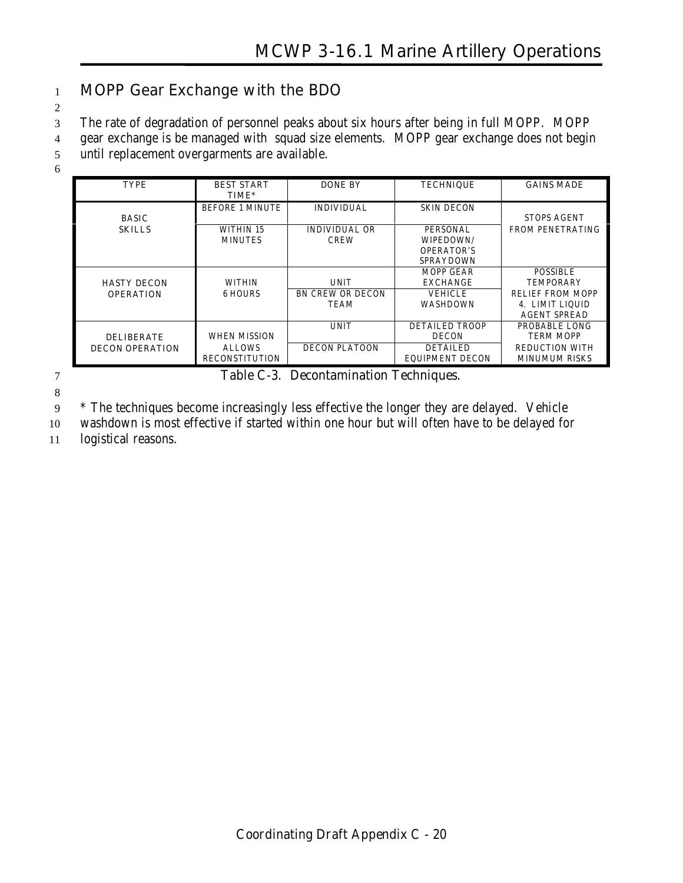### 1 **MOPP Gear Exchange with the BDO**

2

3 The rate of degradation of personnel peaks about six hours after being in full MOPP. MOPP

4 gear exchange is be managed with squad size elements. MOPP gear exchange does not begin 5 until replacement overgarments are available.

6

| <b>TYPE</b>                   | <b>BEST START</b><br>TIME* | <b>DONE BY</b>                                | <b>TECHNIQUE</b>       | <b>GAINS MADE</b>       |
|-------------------------------|----------------------------|-----------------------------------------------|------------------------|-------------------------|
|                               | <b>BEFORE 1 MINUTE</b>     | <b>INDIVIDUAL</b>                             | <b>SKIN DECON</b>      | <b>STOPS AGENT</b>      |
| <b>BASIC</b><br><b>SKILLS</b> | <b>WITHIN 15</b>           | <b>INDIVIDUAL OR</b>                          | PERSONAL               | <b>FROM PENETRATING</b> |
|                               | <b>MINUTES</b>             | <b>CREW</b>                                   | WIPEDOWN/              |                         |
|                               |                            |                                               | <b>OPERATOR'S</b>      |                         |
|                               |                            |                                               | <b>SPRAYDOWN</b>       |                         |
|                               |                            |                                               | MOPP GEAR              | POSSIBLE                |
| <b>HASTY DECON</b>            | <b>WITHIN</b>              | <b>UNIT</b>                                   | <b>EXCHANGE</b>        | <b>TEMPORARY</b>        |
| <b>OPERATION</b>              | <b>6 HOURS</b>             | <b>BN CREW OR DECON</b>                       | <b>VEHICLE</b>         | <b>RELIEF FROM MOPP</b> |
|                               |                            | TEAM                                          | WASHDOWN               | 4. LIMIT LIQUID         |
|                               |                            |                                               |                        | <b>AGENT SPREAD</b>     |
|                               |                            | <b>UNIT</b>                                   | DETAILED TROOP         | PROBABLE LONG           |
| <b>DELIBERATE</b>             | WHEN MISSION               |                                               | <b>DECON</b>           | <b>TERM MOPP</b>        |
| <b>DECON OPERATION</b>        | <b>ALLOWS</b>              | <b>DECON PLATOON</b>                          | <b>DETAILED</b>        | <b>REDUCTION WITH</b>   |
|                               | <b>RECONSTITUTION</b>      |                                               | <b>EQUIPMENT DECON</b> | <b>MINUMUM RISKS</b>    |
|                               |                            | <b>Table C-3. Decontamination Techniques.</b> |                        |                         |

8

9 \* The techniques become increasingly less effective the longer they are delayed. Vehicle 10 washdown is most effective if started within one hour but will often have to be delayed for

11 logistical reasons.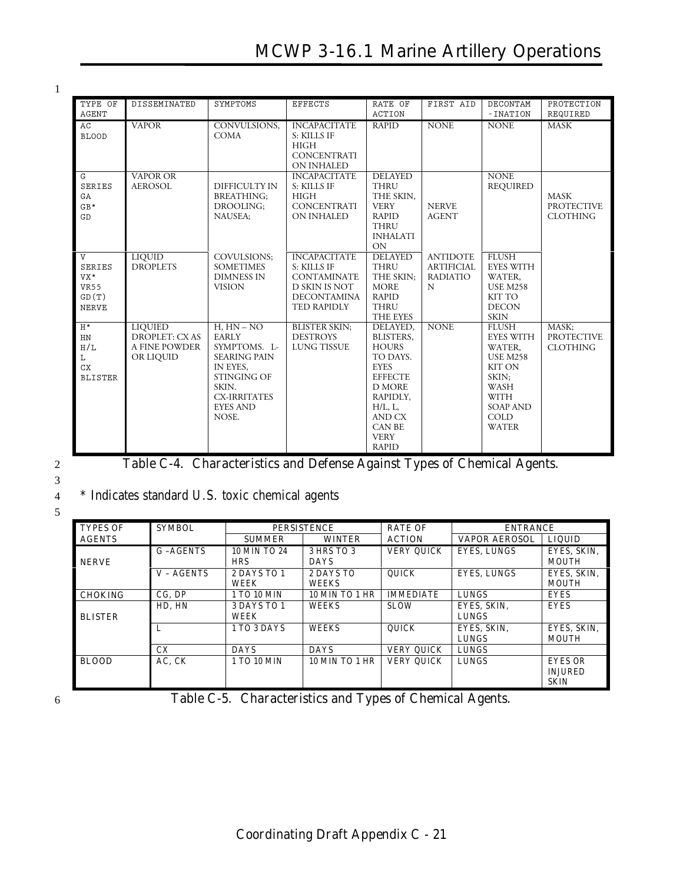# **MCWP 3-16.1 Marine Artillery Operations**

1

| TYPE OF<br><b>AGENT</b>                                                        | DISSEMINATED                                                                | SYMPTOMS                                                                                                                                                 | <b>EFFECTS</b>                                                                                                 | RATE OF<br><b>ACTION</b>                                                                                                                                                     | FIRST AID                                                    | DECONTAM<br>-INATION                                                                                                                                      | PROTECTION<br>REQUIRED                              |
|--------------------------------------------------------------------------------|-----------------------------------------------------------------------------|----------------------------------------------------------------------------------------------------------------------------------------------------------|----------------------------------------------------------------------------------------------------------------|------------------------------------------------------------------------------------------------------------------------------------------------------------------------------|--------------------------------------------------------------|-----------------------------------------------------------------------------------------------------------------------------------------------------------|-----------------------------------------------------|
| AC<br><b>BLOOD</b>                                                             | <b>VAPOR</b>                                                                | CONVULSIONS,<br><b>COMA</b>                                                                                                                              | <b>INCAPACITATE</b><br>S: KILLS IF<br><b>HIGH</b><br><b>CONCENTRATI</b><br>ON INHALED                          | <b>RAPID</b>                                                                                                                                                                 | <b>NONE</b>                                                  | <b>NONE</b>                                                                                                                                               | <b>MASK</b>                                         |
| G<br><b>SERIES</b><br>GA<br>$GB*$<br>GD                                        | <b>VAPOR OR</b><br><b>AEROSOL</b>                                           | DIFFICULTY IN<br><b>BREATHING:</b><br>DROOLING:<br><b>NAUSEA:</b>                                                                                        | <b>INCAPACITATE</b><br>S: KILLS IF<br><b>HIGH</b><br><b>CONCENTRATI</b><br>ON INHALED                          | <b>DELAYED</b><br><b>THRU</b><br>THE SKIN,<br><b>VERY</b><br><b>RAPID</b><br><b>THRU</b><br><b>INHALATI</b><br><b>ON</b>                                                     | <b>NERVE</b><br><b>AGENT</b>                                 | <b>NONE</b><br><b>REQUIRED</b>                                                                                                                            | <b>MASK</b><br><b>PROTECTIVE</b><br><b>CLOTHING</b> |
| $\overline{V}$<br><b>SERIES</b><br>VX*<br><b>VR55</b><br>GD(T)<br><b>NERVE</b> | LIQUID<br><b>DROPLETS</b>                                                   | <b>COVULSIONS:</b><br><b>SOMETIMES</b><br><b>DIMNESS IN</b><br><b>VISION</b>                                                                             | <b>INCAPACITATE</b><br>S: KILLS IF<br><b>CONTAMINATE</b><br>D SKIN IS NOT<br><b>DECONTAMINA</b><br>TED RAPIDLY | <b>DELAYED</b><br>THRU<br>THE SKIN:<br><b>MORE</b><br><b>RAPID</b><br><b>THRU</b><br>THE EYES                                                                                | <b>ANTIDOTE</b><br><b>ARTIFICIAL</b><br><b>RADIATIO</b><br>N | <b>FLUSH</b><br><b>EYES WITH</b><br>WATER,<br><b>USE M258</b><br>KIT TO<br><b>DECON</b><br><b>SKIN</b>                                                    |                                                     |
| $\mathrm{H}^{\,\star}$<br>HN<br>H/L<br>L<br>CX<br><b>BLISTER</b>               | <b>LIQUIED</b><br><b>DROPLET: CXAS</b><br><b>A FINE POWDER</b><br>OR LIQUID | $H, HN-NO$<br><b>EARLY</b><br>SYMPTOMS. L-<br><b>SEARING PAIN</b><br>IN EYES,<br>STINGING OF<br>SKIN.<br><b>CX-IRRITATES</b><br><b>EYES AND</b><br>NOSE. | <b>BLISTER SKIN:</b><br><b>DESTROYS</b><br><b>LUNG TISSUE</b>                                                  | DELAYED.<br>BLISTERS,<br><b>HOURS</b><br>TO DAYS.<br><b>EYES</b><br><b>EFFECTE</b><br>D MORE<br>RAPIDLY,<br>H/L, L<br>AND CX<br><b>CAN BE</b><br><b>VERY</b><br><b>RAPID</b> | <b>NONE</b>                                                  | <b>FLUSH</b><br><b>EYES WITH</b><br>WATER.<br><b>USE M258</b><br>KIT ON<br>SKIN;<br>WASH<br><b>WITH</b><br><b>SOAP AND</b><br><b>COLD</b><br><b>WATER</b> | MASK:<br>PROTECTIVE<br><b>CLOTHING</b>              |

3

### 2 **Table C-4. Characteristics and Defense Against Types of Chemical Agents.**

### 4 \* Indicates standard U.S. toxic chemical agents

5

| <b>TYPES OF</b> | <b>SYMBOL</b> | <b>PERSISTENCE</b>         |                           | <b>RATE OF</b>    | <b>ENTRANCE</b>             |                                                 |
|-----------------|---------------|----------------------------|---------------------------|-------------------|-----------------------------|-------------------------------------------------|
| <b>AGENTS</b>   |               | <b>SUMMER</b>              | <b>WINTER</b>             | <b>ACTION</b>     | <b>VAPOR AEROSOL</b>        | <b>LIQUID</b>                                   |
| <b>NERVE</b>    | G-AGENTS      | 10 MIN TO 24<br><b>HRS</b> | 3 HRS TO 3<br><b>DAYS</b> | <b>VERY QUICK</b> | <b>EYES, LUNGS</b>          | EYES, SKIN,<br><b>MOUTH</b>                     |
|                 | V - AGENTS    | 2 DAYS TO 1<br><b>WEEK</b> | 2 DAYS TO<br><b>WEEKS</b> | <b>QUICK</b>      | <b>EYES, LUNGS</b>          | EYES. SKIN.<br><b>MOUTH</b>                     |
| <b>CHOKING</b>  | CG. DP        | 1 TO 10 MIN                | <b>10 MIN TO 1 HR</b>     | <b>IMMEDIATE</b>  | <b>LUNGS</b>                | <b>EYES</b>                                     |
| <b>BLISTER</b>  | HD. HN        | 3 DAYS TO 1<br>WEEK        | <b>WEEKS</b>              | SLOW              | EYES, SKIN.<br><b>LUNGS</b> | <b>EYES</b>                                     |
|                 | ъ.            | 1 TO 3 DAYS                | <b>WEEKS</b>              | <b>QUICK</b>      | EYES, SKIN,<br><b>LUNGS</b> | EYES, SKIN.<br><b>MOUTH</b>                     |
|                 | CX.           | <b>DAYS</b>                | <b>DAYS</b>               | <b>VERY QUICK</b> | LUNGS                       |                                                 |
| <b>BLOOD</b>    | AC, CK        | 1 TO 10 MIN                | 10 MIN TO 1 HR            | <b>VERY QUICK</b> | <b>LUNGS</b>                | <b>EYES OR</b><br><b>INJURED</b><br><b>SKIN</b> |

6 **Table C-5. Characteristics and Types of Chemical Agents.**